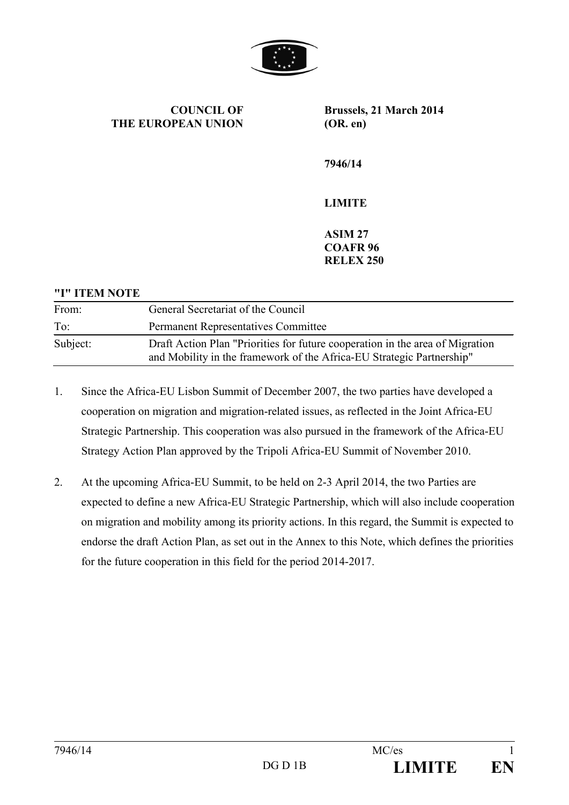

**COUNCIL OF THE EUROPEAN UNION** **Brussels, 21 March 2014 (OR. en)**

**7946/14**

## **LIMITE**

**ASIM 27 COAFR 96 RELEX 250**

# **"I" ITEM NOTE** From: General Secretariat of the Council To: Permanent Representatives Committee Subject: Draft Action Plan "Priorities for future cooperation in the area of Migration and Mobility in the framework of the Africa-EU Strategic Partnership"

- 1. Since the Africa-EU Lisbon Summit of December 2007, the two parties have developed a cooperation on migration and migration-related issues, as reflected in the Joint Africa-EU Strategic Partnership. This cooperation was also pursued in the framework of the Africa-EU Strategy Action Plan approved by the Tripoli Africa-EU Summit of November 2010.
- 2. At the upcoming Africa-EU Summit, to be held on 2-3 April 2014, the two Parties are expected to define a new Africa-EU Strategic Partnership, which will also include cooperation on migration and mobility among its priority actions. In this regard, the Summit is expected to endorse the draft Action Plan, as set out in the Annex to this Note, which defines the priorities for the future cooperation in this field for the period 2014-2017.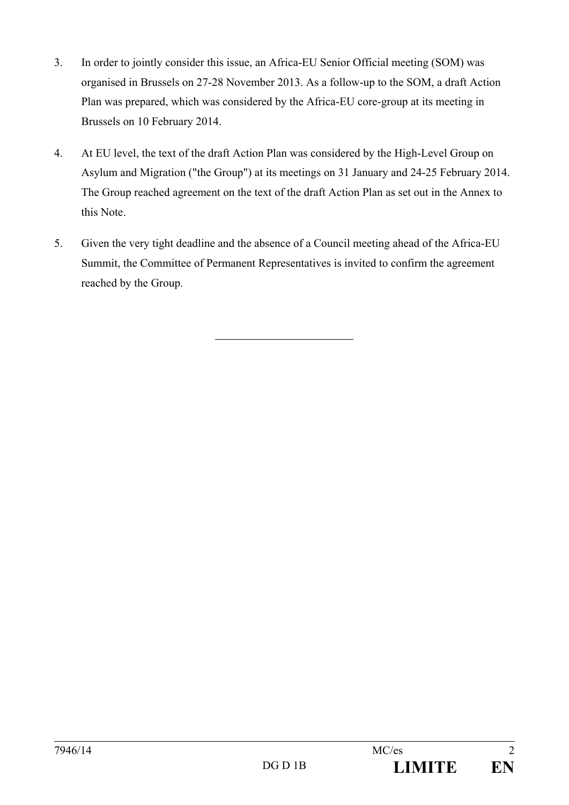- 3. In order to jointly consider this issue, an Africa-EU Senior Official meeting (SOM) was organised in Brussels on 27-28 November 2013. As a follow-up to the SOM, a draft Action Plan was prepared, which was considered by the Africa-EU core-group at its meeting in Brussels on 10 February 2014.
- 4. At EU level, the text of the draft Action Plan was considered by the High-Level Group on Asylum and Migration ("the Group") at its meetings on 31 January and 24-25 February 2014. The Group reached agreement on the text of the draft Action Plan as set out in the Annex to this Note.
- 5. Given the very tight deadline and the absence of a Council meeting ahead of the Africa-EU Summit, the Committee of Permanent Representatives is invited to confirm the agreement reached by the Group.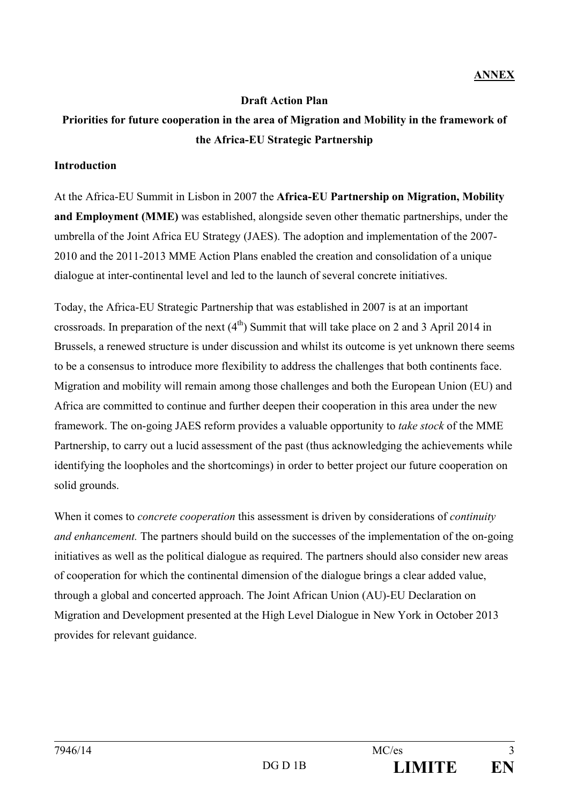#### **Draft Action Plan**

## **Priorities for future cooperation in the area of Migration and Mobility in the framework of the Africa-EU Strategic Partnership**

#### **Introduction**

At the Africa-EU Summit in Lisbon in 2007 the **Africa-EU Partnership on Migration, Mobility and Employment (MME)** was established, alongside seven other thematic partnerships, under the umbrella of the Joint Africa EU Strategy (JAES). The adoption and implementation of the 2007- 2010 and the 2011-2013 MME Action Plans enabled the creation and consolidation of a unique dialogue at inter-continental level and led to the launch of several concrete initiatives.

Today, the Africa-EU Strategic Partnership that was established in 2007 is at an important crossroads. In preparation of the next  $(4<sup>th</sup>)$  Summit that will take place on 2 and 3 April 2014 in Brussels, a renewed structure is under discussion and whilst its outcome is yet unknown there seems to be a consensus to introduce more flexibility to address the challenges that both continents face. Migration and mobility will remain among those challenges and both the European Union (EU) and Africa are committed to continue and further deepen their cooperation in this area under the new framework. The on-going JAES reform provides a valuable opportunity to *take stock* of the MME Partnership, to carry out a lucid assessment of the past (thus acknowledging the achievements while identifying the loopholes and the shortcomings) in order to better project our future cooperation on solid grounds.

When it comes to *concrete cooperation* this assessment is driven by considerations of *continuity and enhancement.* The partners should build on the successes of the implementation of the on-going initiatives as well as the political dialogue as required. The partners should also consider new areas of cooperation for which the continental dimension of the dialogue brings a clear added value, through a global and concerted approach. The Joint African Union (AU)-EU Declaration on Migration and Development presented at the High Level Dialogue in New York in October 2013 provides for relevant guidance.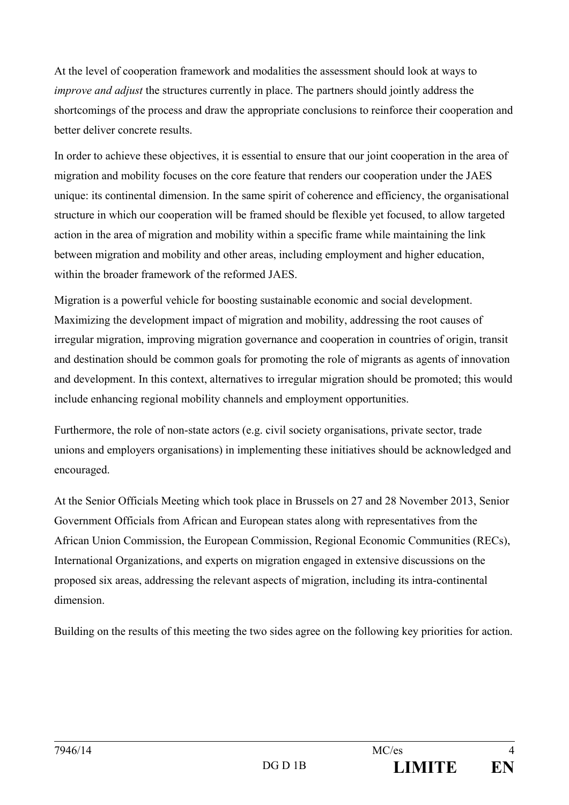At the level of cooperation framework and modalities the assessment should look at ways to *improve and adjust* the structures currently in place. The partners should jointly address the shortcomings of the process and draw the appropriate conclusions to reinforce their cooperation and better deliver concrete results.

In order to achieve these objectives, it is essential to ensure that our joint cooperation in the area of migration and mobility focuses on the core feature that renders our cooperation under the JAES unique: its continental dimension. In the same spirit of coherence and efficiency, the organisational structure in which our cooperation will be framed should be flexible yet focused, to allow targeted action in the area of migration and mobility within a specific frame while maintaining the link between migration and mobility and other areas, including employment and higher education, within the broader framework of the reformed JAES.

Migration is a powerful vehicle for boosting sustainable economic and social development. Maximizing the development impact of migration and mobility, addressing the root causes of irregular migration, improving migration governance and cooperation in countries of origin, transit and destination should be common goals for promoting the role of migrants as agents of innovation and development. In this context, alternatives to irregular migration should be promoted; this would include enhancing regional mobility channels and employment opportunities.

Furthermore, the role of non-state actors (e.g. civil society organisations, private sector, trade unions and employers organisations) in implementing these initiatives should be acknowledged and encouraged.

At the Senior Officials Meeting which took place in Brussels on 27 and 28 November 2013, Senior Government Officials from African and European states along with representatives from the African Union Commission, the European Commission, Regional Economic Communities (RECs), International Organizations, and experts on migration engaged in extensive discussions on the proposed six areas, addressing the relevant aspects of migration, including its intra-continental dimension.

Building on the results of this meeting the two sides agree on the following key priorities for action.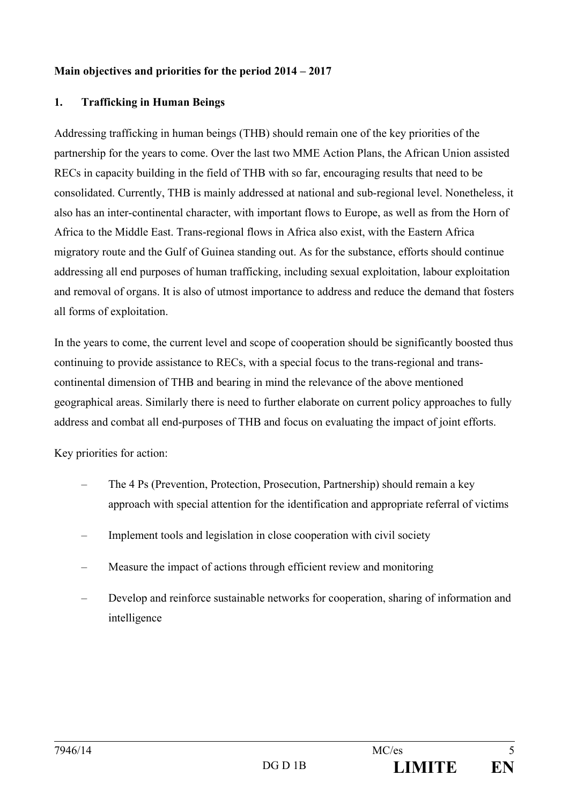### **Main objectives and priorities for the period 2014 – 2017**

### **1. Trafficking in Human Beings**

Addressing trafficking in human beings (THB) should remain one of the key priorities of the partnership for the years to come. Over the last two MME Action Plans, the African Union assisted RECs in capacity building in the field of THB with so far, encouraging results that need to be consolidated. Currently, THB is mainly addressed at national and sub-regional level. Nonetheless, it also has an inter-continental character, with important flows to Europe, as well as from the Horn of Africa to the Middle East. Trans-regional flows in Africa also exist, with the Eastern Africa migratory route and the Gulf of Guinea standing out. As for the substance, efforts should continue addressing all end purposes of human trafficking, including sexual exploitation, labour exploitation and removal of organs. It is also of utmost importance to address and reduce the demand that fosters all forms of exploitation.

In the years to come, the current level and scope of cooperation should be significantly boosted thus continuing to provide assistance to RECs, with a special focus to the trans-regional and transcontinental dimension of THB and bearing in mind the relevance of the above mentioned geographical areas. Similarly there is need to further elaborate on current policy approaches to fully address and combat all end-purposes of THB and focus on evaluating the impact of joint efforts.

- The 4 Ps (Prevention, Protection, Prosecution, Partnership) should remain a key approach with special attention for the identification and appropriate referral of victims
- Implement tools and legislation in close cooperation with civil society
- Measure the impact of actions through efficient review and monitoring
- Develop and reinforce sustainable networks for cooperation, sharing of information and intelligence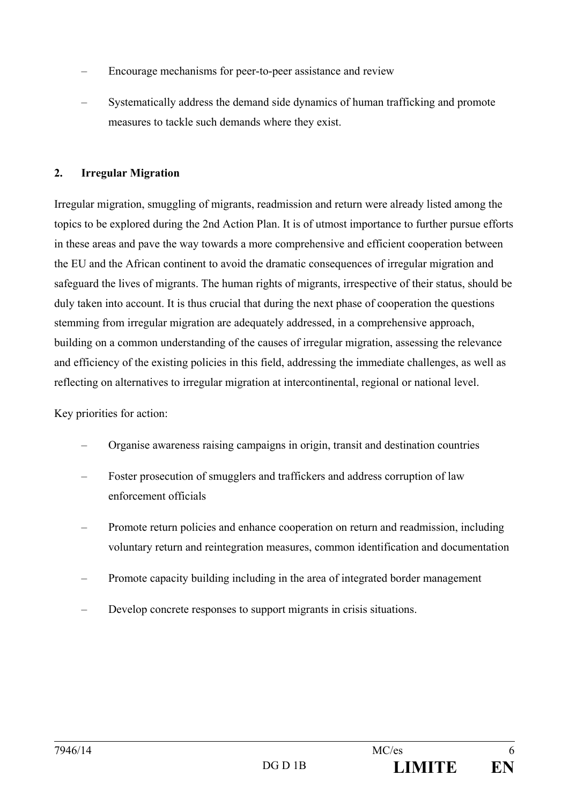- Encourage mechanisms for peer-to-peer assistance and review
- Systematically address the demand side dynamics of human trafficking and promote measures to tackle such demands where they exist.

### **2. Irregular Migration**

Irregular migration, smuggling of migrants, readmission and return were already listed among the topics to be explored during the 2nd Action Plan. It is of utmost importance to further pursue efforts in these areas and pave the way towards a more comprehensive and efficient cooperation between the EU and the African continent to avoid the dramatic consequences of irregular migration and safeguard the lives of migrants. The human rights of migrants, irrespective of their status, should be duly taken into account. It is thus crucial that during the next phase of cooperation the questions stemming from irregular migration are adequately addressed, in a comprehensive approach, building on a common understanding of the causes of irregular migration, assessing the relevance and efficiency of the existing policies in this field, addressing the immediate challenges, as well as reflecting on alternatives to irregular migration at intercontinental, regional or national level.

- Organise awareness raising campaigns in origin, transit and destination countries
- Foster prosecution of smugglers and traffickers and address corruption of law enforcement officials
- Promote return policies and enhance cooperation on return and readmission, including voluntary return and reintegration measures, common identification and documentation
- Promote capacity building including in the area of integrated border management
- Develop concrete responses to support migrants in crisis situations.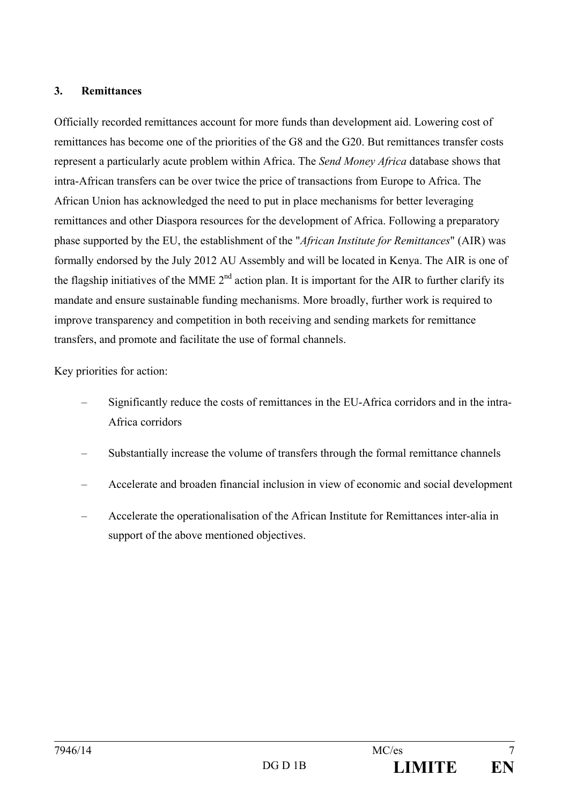#### **3. Remittances**

Officially recorded remittances account for more funds than development aid. Lowering cost of remittances has become one of the priorities of the G8 and the G20. But remittances transfer costs represent a particularly acute problem within Africa. The *Send Money Africa* database shows that intra-African transfers can be over twice the price of transactions from Europe to Africa. The African Union has acknowledged the need to put in place mechanisms for better leveraging remittances and other Diaspora resources for the development of Africa. Following a preparatory phase supported by the EU, the establishment of the "*African Institute for Remittances*" (AIR) was formally endorsed by the July 2012 AU Assembly and will be located in Kenya. The AIR is one of the flagship initiatives of the MME  $2<sup>nd</sup>$  action plan. It is important for the AIR to further clarify its mandate and ensure sustainable funding mechanisms. More broadly, further work is required to improve transparency and competition in both receiving and sending markets for remittance transfers, and promote and facilitate the use of formal channels.

- Significantly reduce the costs of remittances in the EU-Africa corridors and in the intra-Africa corridors
- Substantially increase the volume of transfers through the formal remittance channels
- Accelerate and broaden financial inclusion in view of economic and social development
- Accelerate the operationalisation of the African Institute for Remittances inter-alia in support of the above mentioned objectives.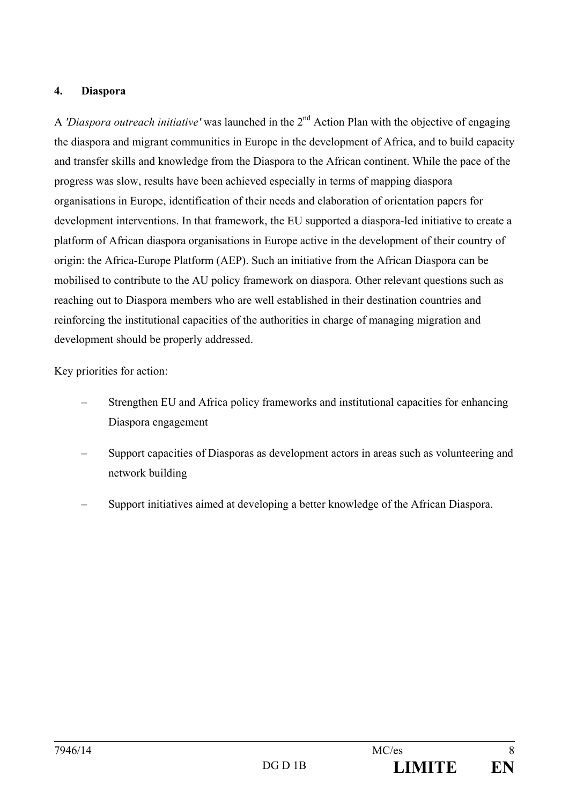#### **4. Diaspora**

A *'Diaspora outreach initiative'* was launched in the 2nd Action Plan with the objective of engaging the diaspora and migrant communities in Europe in the development of Africa, and to build capacity and transfer skills and knowledge from the Diaspora to the African continent. While the pace of the progress was slow, results have been achieved especially in terms of mapping diaspora organisations in Europe, identification of their needs and elaboration of orientation papers for development interventions. In that framework, the EU supported a diaspora-led initiative to create a platform of African diaspora organisations in Europe active in the development of their country of origin: the Africa-Europe Platform (AEP). Such an initiative from the African Diaspora can be mobilised to contribute to the AU policy framework on diaspora. Other relevant questions such as reaching out to Diaspora members who are well established in their destination countries and reinforcing the institutional capacities of the authorities in charge of managing migration and development should be properly addressed.

- Strengthen EU and Africa policy frameworks and institutional capacities for enhancing Diaspora engagement
- Support capacities of Diasporas as development actors in areas such as volunteering and network building
- Support initiatives aimed at developing a better knowledge of the African Diaspora.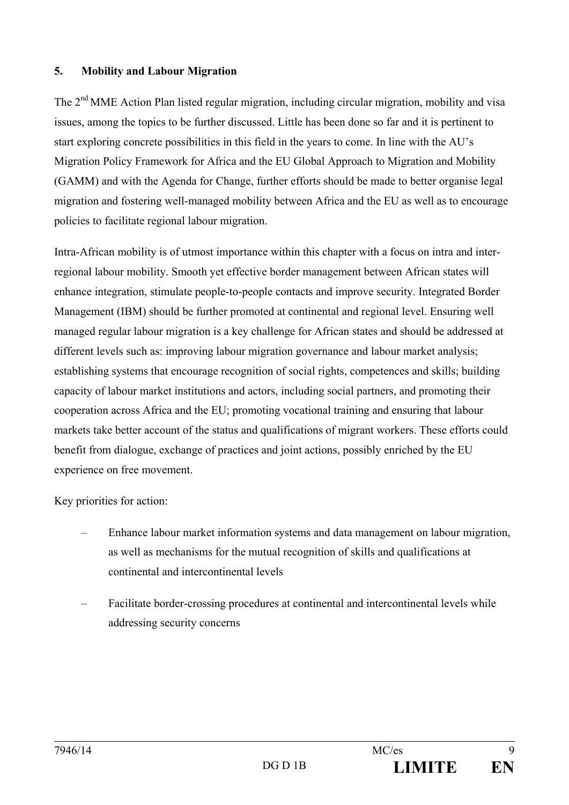#### **5. Mobility and Labour Migration**

The 2<sup>nd</sup> MME Action Plan listed regular migration, including circular migration, mobility and visa issues, among the topics to be further discussed. Little has been done so far and it is pertinent to start exploring concrete possibilities in this field in the years to come. In line with the AU's Migration Policy Framework for Africa and the EU Global Approach to Migration and Mobility (GAMM) and with the Agenda for Change, further efforts should be made to better organise legal migration and fostering well-managed mobility between Africa and the EU as well as to encourage policies to facilitate regional labour migration.

Intra-African mobility is of utmost importance within this chapter with a focus on intra and interregional labour mobility. Smooth yet effective border management between African states will enhance integration, stimulate people-to-people contacts and improve security. Integrated Border Management (IBM) should be further promoted at continental and regional level. Ensuring well managed regular labour migration is a key challenge for African states and should be addressed at different levels such as: improving labour migration governance and labour market analysis; establishing systems that encourage recognition of social rights, competences and skills; building capacity of labour market institutions and actors, including social partners, and promoting their cooperation across Africa and the EU; promoting vocational training and ensuring that labour markets take better account of the status and qualifications of migrant workers. These efforts could benefit from dialogue, exchange of practices and joint actions, possibly enriched by the EU experience on free movement.

- Enhance labour market information systems and data management on labour migration, as well as mechanisms for the mutual recognition of skills and qualifications at continental and intercontinental levels
- Facilitate border-crossing procedures at continental and intercontinental levels while addressing security concerns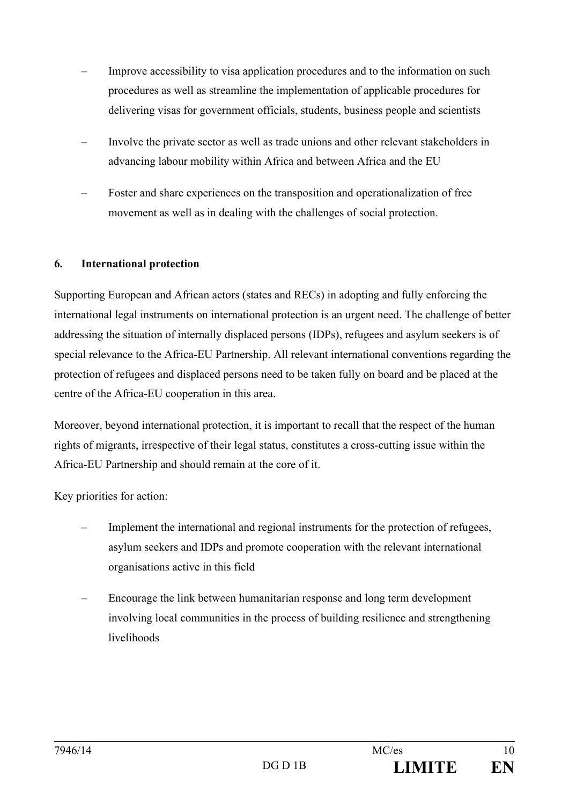- Improve accessibility to visa application procedures and to the information on such procedures as well as streamline the implementation of applicable procedures for delivering visas for government officials, students, business people and scientists
- Involve the private sector as well as trade unions and other relevant stakeholders in advancing labour mobility within Africa and between Africa and the EU
- Foster and share experiences on the transposition and operationalization of free movement as well as in dealing with the challenges of social protection.

## **6. International protection**

Supporting European and African actors (states and RECs) in adopting and fully enforcing the international legal instruments on international protection is an urgent need. The challenge of better addressing the situation of internally displaced persons (IDPs), refugees and asylum seekers is of special relevance to the Africa-EU Partnership. All relevant international conventions regarding the protection of refugees and displaced persons need to be taken fully on board and be placed at the centre of the Africa-EU cooperation in this area.

Moreover, beyond international protection, it is important to recall that the respect of the human rights of migrants, irrespective of their legal status, constitutes a cross-cutting issue within the Africa-EU Partnership and should remain at the core of it.

- Implement the international and regional instruments for the protection of refugees, asylum seekers and IDPs and promote cooperation with the relevant international organisations active in this field
- Encourage the link between humanitarian response and long term development involving local communities in the process of building resilience and strengthening livelihoods